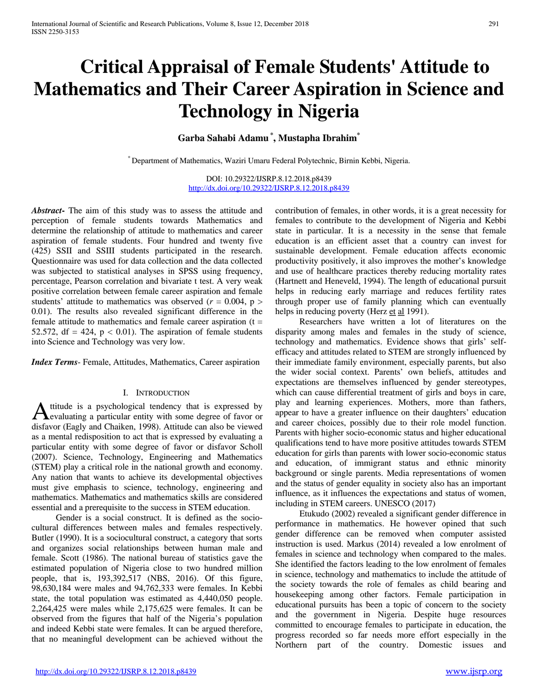# **Critical Appraisal of Female Students' Attitude to Mathematics and Their Career Aspiration in Science and Technology in Nigeria**

# **Garba Sahabi Adamu \* , Mustapha Ibrahim\***

\* Department of Mathematics, Waziri Umaru Federal Polytechnic, Birnin Kebbi, Nigeria.

DOI: 10.29322/IJSRP.8.12.2018.p8439 <http://dx.doi.org/10.29322/IJSRP.8.12.2018.p8439>

*Abstract***-** The aim of this study was to assess the attitude and perception of female students towards Mathematics and determine the relationship of attitude to mathematics and career aspiration of female students. Four hundred and twenty five (425) SSII and SSIII students participated in the research. Questionnaire was used for data collection and the data collected was subjected to statistical analyses in SPSS using frequency, percentage, Pearson correlation and bivariate t test. A very weak positive correlation between female career aspiration and female students' attitude to mathematics was observed ( $r = 0.004$ ,  $p >$ 0.01). The results also revealed significant difference in the female attitude to mathematics and female career aspiration  $(t =$ 52.572, df = 424,  $p < 0.01$ ). The aspiration of female students into Science and Technology was very low.

*Index Terms*- Female, Attitudes, Mathematics, Career aspiration

#### I. INTRODUCTION

ttitude is a psychological tendency that is expressed by A titude is a psychological tendency that is expressed by<br>
evaluating a particular entity with some degree of favor or<br>  $\frac{1}{2}$ disfavor (Eagly and Chaiken, 1998). Attitude can also be viewed as a mental redisposition to act that is expressed by evaluating a particular entity with some degree of favor or disfavor Scholl (2007). Science, Technology, Engineering and Mathematics (STEM) play a critical role in the national growth and economy. Any nation that wants to achieve its developmental objectives must give emphasis to science, technology, engineering and mathematics. Mathematics and mathematics skills are considered essential and a prerequisite to the success in STEM education.

 Gender is a social construct. It is defined as the sociocultural differences between males and females respectively. Butler (1990). It is a sociocultural construct, a category that sorts and organizes social relationships between human male and female. Scott (1986). The national bureau of statistics gave the estimated population of Nigeria close to two hundred million people, that is, 193,392,517 (NBS, 2016). Of this figure, 98,630,184 were males and 94,762,333 were females. In Kebbi state, the total population was estimated as 4,440,050 people. 2,264,425 were males while 2,175,625 were females. It can be observed from the figures that half of the Nigeria's population and indeed Kebbi state were females. It can be argued therefore, that no meaningful development can be achieved without the contribution of females, in other words, it is a great necessity for females to contribute to the development of Nigeria and Kebbi state in particular. It is a necessity in the sense that female education is an efficient asset that a country can invest for sustainable development. Female education affects economic productivity positively, it also improves the mother's knowledge and use of healthcare practices thereby reducing mortality rates (Hartnett and Heneveld, 1994). The length of educational pursuit helps in reducing early marriage and reduces fertility rates through proper use of family planning which can eventually helps in reducing poverty (Herz et al 1991).

 Researchers have written a lot of literatures on the disparity among males and females in the study of science, technology and mathematics. Evidence shows that girls' selfefficacy and attitudes related to STEM are strongly influenced by their immediate family environment, especially parents, but also the wider social context. Parents' own beliefs, attitudes and expectations are themselves influenced by gender stereotypes, which can cause differential treatment of girls and boys in care, play and learning experiences. Mothers, more than fathers, appear to have a greater influence on their daughters' education and career choices, possibly due to their role model function. Parents with higher socio-economic status and higher educational qualifications tend to have more positive attitudes towards STEM education for girls than parents with lower socio-economic status and education, of immigrant status and ethnic minority background or single parents. Media representations of women and the status of gender equality in society also has an important influence, as it influences the expectations and status of women, including in STEM careers. UNESCO (2017)

 Etukudo (2002) revealed a significant gender difference in performance in mathematics. He however opined that such gender difference can be removed when computer assisted instruction is used. Markus (2014) revealed a low enrolment of females in science and technology when compared to the males. She identified the factors leading to the low enrolment of females in science, technology and mathematics to include the attitude of the society towards the role of females as child bearing and housekeeping among other factors. Female participation in educational pursuits has been a topic of concern to the society and the government in Nigeria. Despite huge resources committed to encourage females to participate in education, the progress recorded so far needs more effort especially in the Northern part of the country. Domestic issues and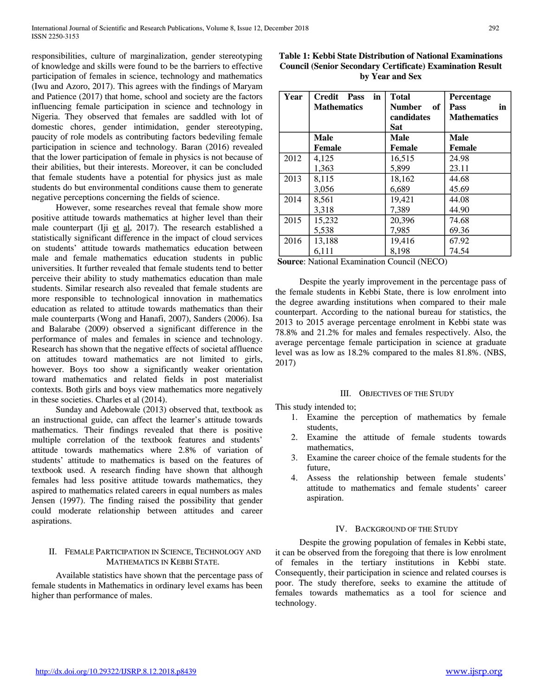responsibilities, culture of marginalization, gender stereotyping of knowledge and skills were found to be the barriers to effective participation of females in science, technology and mathematics (Iwu and Azoro, 2017). This agrees with the findings of Maryam and Patience (2017) that home, school and society are the factors influencing female participation in science and technology in Nigeria. They observed that females are saddled with lot of domestic chores, gender intimidation, gender stereotyping, paucity of role models as contributing factors bedeviling female participation in science and technology. Baran (2016) revealed that the lower participation of female in physics is not because of their abilities, but their interests. Moreover, it can be concluded that female students have a potential for physics just as male students do but environmental conditions cause them to generate negative perceptions concerning the fields of science.

 However, some researches reveal that female show more positive attitude towards mathematics at higher level than their male counterpart (Iji  $et$  al, 2017). The research established a statistically significant difference in the impact of cloud services on students' attitude towards mathematics education between male and female mathematics education students in public universities. It further revealed that female students tend to better perceive their ability to study mathematics education than male students. Similar research also revealed that female students are more responsible to technological innovation in mathematics education as related to attitude towards mathematics than their male counterparts (Wong and Hanafi, 2007), Sanders (2006). Isa and Balarabe (2009) observed a significant difference in the performance of males and females in science and technology. Research has shown that the negative effects of societal affluence on attitudes toward mathematics are not limited to girls, however. Boys too show a significantly weaker orientation toward mathematics and related fields in post materialist contexts. Both girls and boys view mathematics more negatively in these societies. Charles et al (2014).

 Sunday and Adebowale (2013) observed that, textbook as an instructional guide, can affect the learner's attitude towards mathematics. Their findings revealed that there is positive multiple correlation of the textbook features and students' attitude towards mathematics where 2.8% of variation of students' attitude to mathematics is based on the features of textbook used. A research finding have shown that although females had less positive attitude towards mathematics, they aspired to mathematics related careers in equal numbers as males Jensen (1997). The finding raised the possibility that gender could moderate relationship between attitudes and career aspirations.

# II. FEMALE PARTICIPATION IN SCIENCE, TECHNOLOGY AND MATHEMATICS IN KEBBI STATE.

 Available statistics have shown that the percentage pass of female students in Mathematics in ordinary level exams has been higher than performance of males.

| Table 1: Kebbi State Distribution of National Examinations       |
|------------------------------------------------------------------|
| <b>Council (Senior Secondary Certificate) Examination Result</b> |
| by Year and Sex                                                  |

| Year | in<br>Credit Pass<br><b>Mathematics</b> | <b>Total</b><br>Number<br>of<br>candidates<br>Sat | Percentage<br>Pass<br>in<br><b>Mathematics</b> |
|------|-----------------------------------------|---------------------------------------------------|------------------------------------------------|
|      | Male                                    | Male                                              | Male                                           |
|      | Female                                  | <b>Female</b>                                     | <b>Female</b>                                  |
| 2012 | 4,125                                   | 16,515                                            | 24.98                                          |
|      | 1,363                                   | 5,899                                             | 23.11                                          |
| 2013 | 8,115                                   | 18,162                                            | 44.68                                          |
|      | 3,056                                   | 6,689                                             | 45.69                                          |
| 2014 | 8,561                                   | 19,421                                            | 44.08                                          |
|      | 3,318                                   | 7,389                                             | 44.90                                          |
| 2015 | 15,232                                  | 20,396                                            | 74.68                                          |
|      | 5,538                                   | 7,985                                             | 69.36                                          |
| 2016 | 13,188                                  | 19,416                                            | 67.92                                          |
|      | 6,111                                   | 8,198                                             | 74.54                                          |

**Source**: National Examination Council (NECO)

 Despite the yearly improvement in the percentage pass of the female students in Kebbi State, there is low enrolment into the degree awarding institutions when compared to their male counterpart. According to the national bureau for statistics, the 2013 to 2015 average percentage enrolment in Kebbi state was 78.8% and 21.2% for males and females respectively. Also, the average percentage female participation in science at graduate level was as low as 18.2% compared to the males 81.8%. (NBS, 2017)

#### III. OBJECTIVES OF THE STUDY

This study intended to;

- 1. Examine the perception of mathematics by female students,
- 2. Examine the attitude of female students towards mathematics,
- 3. Examine the career choice of the female students for the future,
- 4. Assess the relationship between female students' attitude to mathematics and female students' career aspiration.

#### IV. BACKGROUND OF THE STUDY

 Despite the growing population of females in Kebbi state, it can be observed from the foregoing that there is low enrolment of females in the tertiary institutions in Kebbi state. Consequently, their participation in science and related courses is poor. The study therefore, seeks to examine the attitude of females towards mathematics as a tool for science and technology.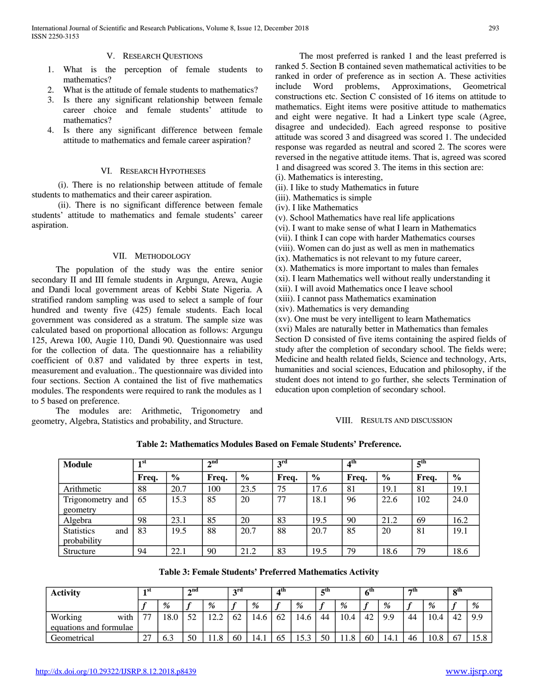# V. RESEARCH QUESTIONS

- 1. What is the perception of female students to mathematics?
- 2. What is the attitude of female students to mathematics?
- 3. Is there any significant relationship between female career choice and female students' attitude to mathematics?
- 4. Is there any significant difference between female attitude to mathematics and female career aspiration?

#### VI. RESEARCH HYPOTHESES

 (i). There is no relationship between attitude of female students to mathematics and their career aspiration.

 (ii). There is no significant difference between female students' attitude to mathematics and female students' career aspiration.

#### VII. METHODOLOGY

 The population of the study was the entire senior secondary II and III female students in Argungu, Arewa, Augie and Dandi local government areas of Kebbi State Nigeria. A stratified random sampling was used to select a sample of four hundred and twenty five (425) female students. Each local government was considered as a stratum. The sample size was calculated based on proportional allocation as follows: Argungu 125, Arewa 100, Augie 110, Dandi 90. Questionnaire was used for the collection of data. The questionnaire has a reliability coefficient of 0.87 and validated by three experts in test, measurement and evaluation.. The questionnaire was divided into four sections. Section A contained the list of five mathematics modules. The respondents were required to rank the modules as 1 to 5 based on preference.

 The modules are: Arithmetic, Trigonometry and geometry, Algebra, Statistics and probability, and Structure.

 The most preferred is ranked 1 and the least preferred is ranked 5. Section B contained seven mathematical activities to be ranked in order of preference as in section A. These activities include Word problems, Approximations, Geometrical constructions etc. Section C consisted of 16 items on attitude to mathematics. Eight items were positive attitude to mathematics and eight were negative. It had a Linkert type scale (Agree, disagree and undecided). Each agreed response to positive attitude was scored 3 and disagreed was scored 1. The undecided response was regarded as neutral and scored 2. The scores were reversed in the negative attitude items. That is, agreed was scored 1 and disagreed was scored 3. The items in this section are:

- (i). Mathematics is interesting,
- (ii). I like to study Mathematics in future
- (iii). Mathematics is simple
- (iv). I like Mathematics
- (v). School Mathematics have real life applications
- (vi). I want to make sense of what I learn in Mathematics
- (vii). I think I can cope with harder Mathematics courses
- (viii). Women can do just as well as men in mathematics
- (ix). Mathematics is not relevant to my future career,
- (x). Mathematics is more important to males than females

(xi). I learn Mathematics well without really understanding it

- (xii). I will avoid Mathematics once I leave school
- (xiii). I cannot pass Mathematics examination
- (xiv). Mathematics is very demanding

(xv). One must be very intelligent to learn Mathematics (xvi) Males are naturally better in Mathematics than females Section D consisted of five items containing the aspired fields of study after the completion of secondary school. The fields were; Medicine and health related fields, Science and technology, Arts,

humanities and social sciences, Education and philosophy, if the student does not intend to go further, she selects Termination of education upon completion of secondary school.

# VIII. RESULTS AND DISCUSSION

| Table 2: Mathematics Modules Based on Female Students' Preference. |  |
|--------------------------------------------------------------------|--|
|--------------------------------------------------------------------|--|

| <b>Module</b>            | $\blacksquare$ st |               | $\boldsymbol{\gamma}$ nd |               | 2rd   |               | 4 <sup>th</sup> |               | 5 <sup>th</sup> |               |  |
|--------------------------|-------------------|---------------|--------------------------|---------------|-------|---------------|-----------------|---------------|-----------------|---------------|--|
|                          | Freq.             | $\frac{0}{0}$ | Freq.                    | $\frac{6}{6}$ | Freq. | $\frac{6}{9}$ | Freq.           | $\frac{6}{6}$ | Freq.           | $\frac{6}{9}$ |  |
| Arithmetic               | 88                | 20.7          | 100                      | 23.5          | 75    | 17.6          | 81              | 19.1          | 81              | 19.1          |  |
| Trigonometry and         | 65                | 15.3          | 85                       | 20            | 77    | 18.1          | 96              | 22.6          | 102             | 24.0          |  |
| geometry                 |                   |               |                          |               |       |               |                 |               |                 |               |  |
| Algebra                  | 98                | 23.1          | 85                       | 20            | 83    | 19.5          | 90              | 21.2          | 69              | 16.2          |  |
| <b>Statistics</b><br>and | 83                | 19.5          | 88                       | 20.7          | 88    | 20.7          | 85              | 20            | 81              | 19.1          |  |
| probability              |                   |               |                          |               |       |               |                 |               |                 |               |  |
| Structure                | 94                | 22.1          | 90                       | 21.2          | 83    | 19.5          | 79              | 18.6          | 79              | 18.6          |  |

**Table 3: Female Students' Preferred Mathematics Activity**

| <b>Activity</b>        | 1 SU                     |      |    |                 | ond |               | 2rd |        | ⊿ա |      | rth. |      | 6ш |      | πm      |      | oth |  |
|------------------------|--------------------------|------|----|-----------------|-----|---------------|-----|--------|----|------|------|------|----|------|---------|------|-----|--|
|                        |                          | %    |    | %               |     | $\frac{0}{0}$ |     | %      | r  | %    |      | %    |    | $\%$ |         | %    |     |  |
| Working<br>with        | $\overline{\phantom{a}}$ | 18.0 | 52 | $\cdot$ 2.<br>. | 62  | 14.6          | 62  | 14.6   | 44 | 10.4 | 42   | 9.9  | 44 | 10.4 | 47<br>т | 9.9  |     |  |
| equations and formulae |                          |      |    |                 |     |               |     |        |    |      |      |      |    |      |         |      |     |  |
| Geometrical            | $\sim$<br>$\sim$         | 6.3  | 50 | 1.8             | 60  | 14.1          | ხა  | 1 J .J | 50 | 11.8 | 60   | 14.1 | 46 | 10.8 | --      | 15.8 |     |  |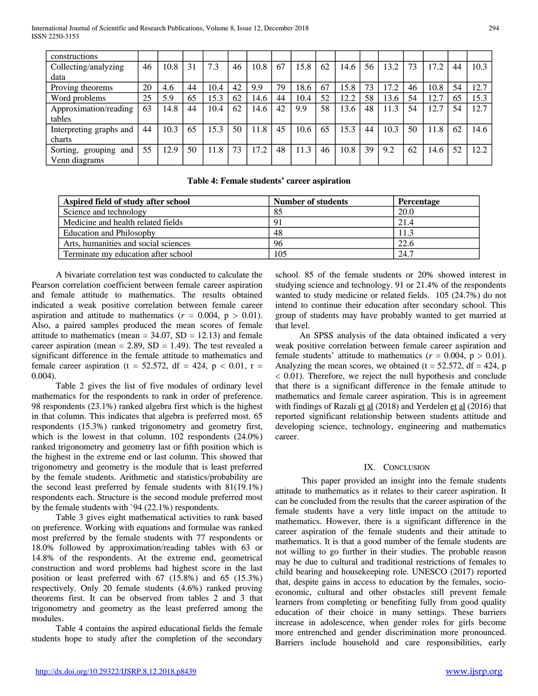| constructions            |    |      |    |      |    |      |    |      |    |      |    |      |    |      |    |      |
|--------------------------|----|------|----|------|----|------|----|------|----|------|----|------|----|------|----|------|
| Collecting/analyzing     | 46 | 10.8 | 31 | 7.3  | 46 | 10.8 | 67 | 15.8 | 62 | 14.6 | 56 | 13.2 | 73 | 17.2 | 44 | 10.3 |
| data                     |    |      |    |      |    |      |    |      |    |      |    |      |    |      |    |      |
| Proving theorems         | 20 | 4.6  | 44 | 10.4 | 42 | 9.9  | 79 | 18.6 | 67 | 15.8 | 73 | 17.2 | 46 | 10.8 | 54 | 12.7 |
| Word problems            | 25 | 5.9  | 65 | 15.3 | 62 | 14.6 | 44 | 10.4 | 52 | 12.2 | 58 | 13.6 | 54 | 12.7 | 65 | 15.3 |
| Approximation/reading    | 63 | 14.8 | 44 | 10.4 | 62 | 14.6 | 42 | 9.9  | 58 | 13.6 | 48 | 11.3 | 54 | 12.7 | 54 | 12.7 |
| tables                   |    |      |    |      |    |      |    |      |    |      |    |      |    |      |    |      |
| Interpreting graphs and  | 44 | 10.3 | 65 | 15.3 | 50 | 11.8 | 45 | 10.6 | 65 | 15.3 | 44 | 10.3 | 50 | 11.8 | 62 | 14.6 |
| charts                   |    |      |    |      |    |      |    |      |    |      |    |      |    |      |    |      |
| Sorting, grouping<br>and | 55 | 12.9 | 50 | 11.8 | 73 | 17.2 | 48 | 11.3 | 46 | 10.8 | 39 | 9.2  | 62 | 14.6 | 52 | 12.2 |
| Venn diagrams            |    |      |    |      |    |      |    |      |    |      |    |      |    |      |    |      |

**Table 4: Female students' career aspiration**

| Aspired field of study after school  | <b>Number of students</b> | <b>Percentage</b> |
|--------------------------------------|---------------------------|-------------------|
| Science and technology               | 85                        | 20.0              |
| Medicine and health related fields   | 91                        | 21.4              |
| <b>Education and Philosophy</b>      | 48                        | 11.3              |
| Arts, humanities and social sciences | 96                        | 22.6              |
| Terminate my education after school  | 105                       | 24.7              |

 A bivariate correlation test was conducted to calculate the Pearson correlation coefficient between female career aspiration and female attitude to mathematics. The results obtained indicated a weak positive correlation between female career aspiration and attitude to mathematics  $(r = 0.004, p > 0.01)$ . Also, a paired samples produced the mean scores of female attitude to mathematics (mean  $= 34.07$ , SD  $= 12.13$ ) and female career aspiration (mean  $= 2.89$ , SD  $= 1.49$ ). The test revealed a significant difference in the female attitude to mathematics and female career aspiration (t = 52.572, df = 424, p < 0.01, r = 0.004).

 Table 2 gives the list of five modules of ordinary level mathematics for the respondents to rank in order of preference. 98 respondents (23.1%) ranked algebra first which is the highest in that column. This indicates that algebra is preferred most. 65 respondents (15.3%) ranked trigonometry and geometry first, which is the lowest in that column. 102 respondents (24.0%) ranked trigonometry and geometry last or fifth position which is the highest in the extreme end or last column. This showed that trigonometry and geometry is the module that is least preferred by the female students. Arithmetic and statistics/probability are the second least preferred by female students with 81(19.1%) respondents each. Structure is the second module preferred most by the female students with `94 (22.1%) respondents.

 Table 3 gives eight mathematical activities to rank based on preference. Working with equations and formulae was ranked most preferred by the female students with 77 respondents or 18.0% followed by approximation/reading tables with 63 or 14.8% of the respondents. At the extreme end, geometrical construction and word problems had highest score in the last position or least preferred with 67 (15.8%) and 65 (15.3%) respectively. Only 20 female students (4.6%) ranked proving theorems first. It can be observed from tables 2 and 3 that trigonometry and geometry as the least preferred among the modules.

 Table 4 contains the aspired educational fields the female students hope to study after the completion of the secondary school. 85 of the female students or 20% showed interest in studying science and technology. 91 or 21.4% of the respondents wanted to study medicine or related fields. 105 (24.7%) do not intend to continue their education after secondary school. This group of students may have probably wanted to get married at that level.

 An SPSS analysis of the data obtained indicated a very weak positive correlation between female career aspiration and female students' attitude to mathematics ( $r = 0.004$ ,  $p > 0.01$ ). Analyzing the mean scores, we obtained ( $t = 52.572$ , df = 424, p < 0.01). Therefore, we reject the null hypothesis and conclude that there is a significant difference in the female attitude to mathematics and female career aspiration. This is in agreement with findings of Razali et al (2018) and Yerdelen et al (2016) that reported significant relationship between students attitude and developing science, technology, engineering and mathematics career.

# IX. CONCLUSION

 This paper provided an insight into the female students attitude to mathematics as it relates to their career aspiration. It can be concluded from the results that the career aspiration of the female students have a very little impact on the attitude to mathematics. However, there is a significant difference in the career aspiration of the female students and their attitude to mathematics. It is that a good number of the female students are not willing to go further in their studies. The probable reason may be due to cultural and traditional restrictions of females to child bearing and housekeeping role. UNESCO (2017) reported that, despite gains in access to education by the females, socioeconomic, cultural and other obstacles still prevent female learners from completing or benefiting fully from good quality education of their choice in many settings. These barriers increase in adolescence, when gender roles for girls become more entrenched and gender discrimination more pronounced. Barriers include household and care responsibilities, early